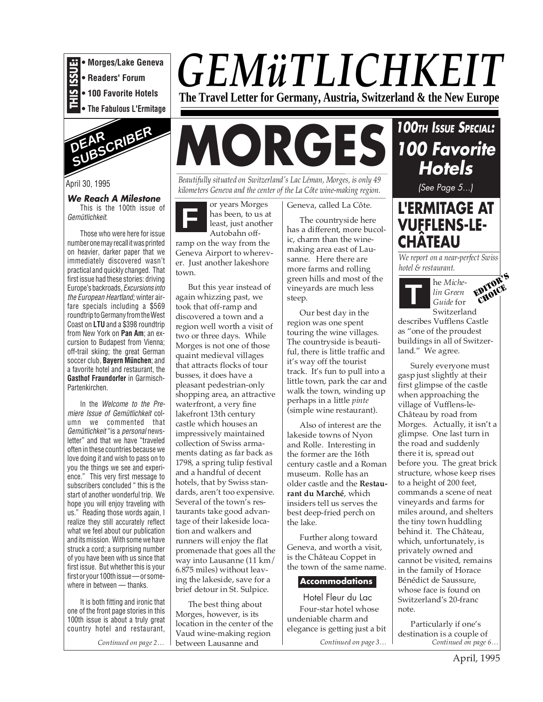

**• Readers' Forum**

- **100 Favorite Hotels**
- **The Fabulous L'Ermitage**



April 30, 1995

#### **We Reach A Milestone**

This is the 100th issue of Gemütlichkeit.

Those who were here for issue number one may recall it was printed on heavier, darker paper that we immediately discovered wasn't practical and quickly changed. That first issue had these stories: driving Europe's backroads, Excursions into the European Heartland; winter airfare specials including a \$569 roundtrip to Germany from the West Coast on **LTU** and a \$398 roundtrip from New York on **Pan Am**; an excursion to Budapest from Vienna; off-trail skiing; the great German soccer club, **Bayern München**; and a favorite hotel and restaurant, the **Gasthof Fraundorfer** in Garmisch-Partenkirchen.

In the Welcome to the Premiere Issue of Gemütlichkeit column we commented that Gemütlichkeit "is a personal newsletter" and that we have "traveled often in these countries because we love doing it and wish to pass on to you the things we see and experience." This very first message to subscribers concluded " this is the start of another wonderful trip. We hope you will enjoy traveling with us." Reading those words again, I realize they still accurately reflect what we feel about our publication and its mission. With some we have struck a cord; a surprising number of you have been with us since that first issue. But whether this is your first or your 100th issue — or somewhere in between — thanks.

It is both fitting and ironic that one of the front page stories in this 100th issue is about a truly great country hotel and restaurant,

# *GEMüTLICHKEIT*

**The Travel Letter for Germany, Austria, Switzerland & the New Europe**

# **MORGES**

*Beautifully situated on Switzerland's Lac Léman, Morges, is only 49 kilometers Geneva and the center of the La Côte wine-making region.*

**F** or years Morges has been, to us at least, just another Autobahn offramp on the way from the Geneva Airport to wherever. Just another lakeshore

town.

But this year instead of again whizzing past, we took that off-ramp and discovered a town and a region well worth a visit of two or three days. While Morges is not one of those quaint medieval villages that attracts flocks of tour busses, it does have a pleasant pedestrian-only shopping area, an attractive waterfront, a very fine lakefront 13th century castle which houses an impressively maintained collection of Swiss armaments dating as far back as 1798, a spring tulip festival and a handful of decent hotels, that by Swiss standards, aren't too expensive. Several of the town's restaurants take good advantage of their lakeside location and walkers and runners will enjoy the flat promenade that goes all the way into Lausanne (11 km/ 6.875 miles) without leaving the lakeside, save for a brief detour in St. Sulpice.

*Continued on page 2… Continued on page 3… Continued on page 6…* between Lausanne and The best thing about Morges, however, is its location in the center of the Vaud wine-making region

Geneva, called La Côte.

The countryside here has a different, more bucolic, charm than the winemaking area east of Lausanne. Here there are more farms and rolling green hills and most of the vineyards are much less steep.

Our best day in the region was one spent touring the wine villages. The countryside is beautiful, there is little traffic and it's way off the tourist track. It's fun to pull into a little town, park the car and walk the town, winding up perhaps in a little *pinte* (simple wine restaurant).

Also of interest are the lakeside towns of Nyon and Rolle. Interesting in the former are the 16th century castle and a Roman museum. Rolle has an older castle and the **Restaurant du Marché**, which insiders tell us serves the best deep-fried perch on the lake.

Further along toward Geneva, and worth a visit, is the Château Coppet in the town of the same name.

#### **Accommodations**

Hotel Fleur du Lac Four-star hotel whose undeniable charm and elegance is getting just a bit **100TH ISSUE SPECIAL: 100 Favorite Hotels** (See Page 5...)

**L'ERMITAGE AT VUFFLENS-LE- CHÂTEAU**

*We report on a near-perfect Swiss hotel & restaurant.*



EDITOR'S CHOICE

describes Vufflens Castle as "one of the proudest buildings in all of Switzerland." We agree.

Surely everyone must gasp just slightly at their first glimpse of the castle when approaching the village of Vufflens-le-Château by road from Morges. Actually, it isn't a glimpse. One last turn in the road and suddenly there it is, spread out before you. The great brick structure, whose keep rises to a height of 200 feet, commands a scene of neat vineyards and farms for miles around, and shelters the tiny town huddling behind it. The Château, which, unfortunately, is privately owned and cannot be visited, remains in the family of Horace Bénédict de Saussure, whose face is found on Switzerland's 20-franc note.

Particularly if one's destination is a couple of<br>Continued on page 6..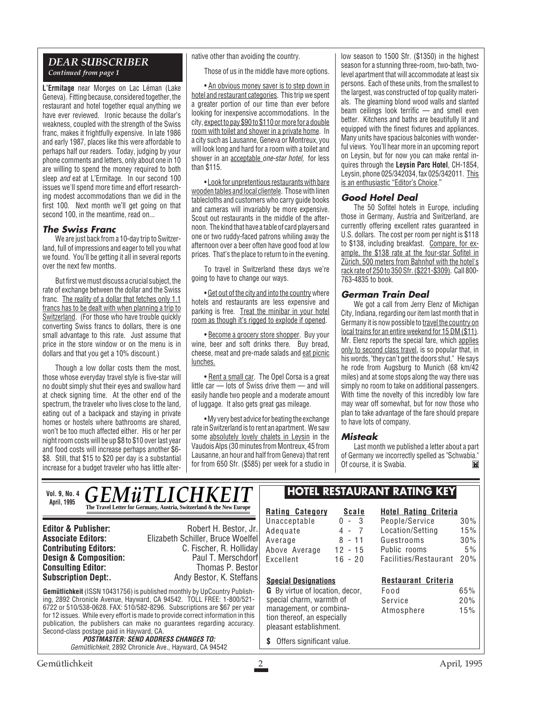#### *DEAR SUBSCRIBER Continued from page 1*

**L'Ermitage** near Morges on Lac Léman (Lake Geneva). Fitting because, considered together, the restaurant and hotel together equal anything we have ever reviewed. Ironic because the dollar's weakness, coupled with the strength of the Swiss franc, makes it frightfully expensive. In late 1986 and early 1987, places like this were affordable to perhaps half our readers. Today, judging by your phone comments and letters, only about one in 10 are willing to spend the money required to both sleep and eat at L'Ermitage. In our second 100 issues we'll spend more time and effort researching modest accommodations than we did in the first 100. Next month we'll get going on that second 100, in the meantime, read on...

#### **The Swiss Franc**

We are just back from a 10-day trip to Switzerland, full of impressions and eager to tell you what we found. You'll be getting it all in several reports over the next few months.

But first we must discuss a crucial subject, the rate of exchange between the dollar and the Swiss franc. The reality of a dollar that fetches only 1.1 francs has to be dealt with when planning a trip to Switzerland. (For those who have trouble quickly converting Swiss francs to dollars, there is one small advantage to this rate. Just assume that price in the store window or on the menu is in dollars and that you get a 10% discount.)

Though a low dollar costs them the most, those whose everyday travel style is five-star will no doubt simply shut their eyes and swallow hard at check signing time. At the other end of the spectrum, the traveler who lives close to the land, eating out of a backpack and staying in private homes or hostels where bathrooms are shared, won't be too much affected either. His or her per night room costs will be up \$8 to \$10 over last year and food costs will increase perhaps another \$6- \$8. Still, that \$15 to \$20 per day is a substantial increase for a budget traveler who has little alternative other than avoiding the country.

Those of us in the middle have more options.

• An obvious money saver is to step down in hotel and restaurant categories. This trip we spent a greater portion of our time than ever before looking for inexpensive accommodations. In the city, expect to pay \$90 to \$110 or more for a double room with toilet and shower in a private home. In a city such as Lausanne, Geneva or Montreux, you will look long and hard for a room with a toilet and shower in an acceptable one-star hotel, for less than \$115.

• Look for unpretentious restaurants with bare wooden tables and local clientele. Those with linen tablecloths and customers who carry guide books and cameras will invariably be more expensive. Scout out restaurants in the middle of the afternoon. The kind that have a table of card players and one or two ruddy-faced patrons whiling away the afternoon over a beer often have good food at low prices. That's the place to return to in the evening.

To travel in Switzerland these days we're going to have to change our ways.

• Get out of the city and into the country where hotels and restaurants are less expensive and parking is free. Treat the minibar in your hotel room as though it's rigged to explode if opened.

• Become a grocery store shopper. Buy your wine, beer and soft drinks there. Buy bread, cheese, meat and pre-made salads and eat picnic lunches.

• Rent a small car. The Opel Corsa is a great little car — lots of Swiss drive them — and will easily handle two people and a moderate amount of luggage. It also gets great gas mileage.

• My very best advice for beating the exchange rate in Switzerland is to rent an apartment. We saw some absolutely lovely chalets in Leysin in the Vaudois Alps (30 minutes from Montreux, 45 from Lausanne, an hour and half from Geneva) that rent for from 650 Sfr. (\$585) per week for a studio in

 $\mathbb{R}$ 

low season to 1500 Sfr. (\$1350) in the highest season for a stunning three-room, two-bath, twolevel apartment that will accommodate at least six persons. Each of these units, from the smallest to the largest, was constructed of top quality materials. The gleaming blond wood walls and slanted beam ceilings look terrific — and smell even better. Kitchens and baths are beautifully lit and equipped with the finest fixtures and appliances. Many units have spacious balconies with wonderful views. You'll hear more in an upcoming report on Leysin, but for now you can make rental inquires through the **Leysin Parc Hotel**, CH-1854, Leysin, phone 025/342034, fax 025/342011. This is an enthusiastic "Editor's Choice."

#### **Good Hotel Deal**

The 50 Sofitel hotels in Europe, including those in Germany, Austria and Switzerland, are currently offering excellent rates guaranteed in U.S. dollars. The cost per room per night is \$118 to \$138, including breakfast. Compare, for example, the \$138 rate at the four-star Sofitel in Zürich, 500 meters from Bahnhof with the hotel's rack rate of 250 to 350 Sfr. (\$221-\$309). Call 800- 763-4835 to book.

#### **German Train Deal**

We got a call from Jerry Elenz of Michigan City, Indiana, regarding our item last month that in Germany it is now possible to travel the country on local trains for an entire weekend for 15 DM (\$11). Mr. Elenz reports the special fare, which applies only to second class travel, is so popular that, in his words, "they can't get the doors shut." He says he rode from Augsburg to Munich (68 km/42 miles) and at some stops along the way there was simply no room to take on additional passengers. With time the novelty of this incredibly low fare may wear off somewhat, but for now those who plan to take advantage of the fare should prepare to have lots of company.

#### **Misteak**

Last month we published a letter about a part of Germany we incorrectly spelled as "Schwabia." Of course, it is Swabia.M

*GEMüTLICHKEI* **The Travel Letter for Germany, Austria, Switzerland & the New Europe Vol. 9, No. 4 April, 1995**

**Consulting Editor:**<br>Subscription Dept:.

**Editor & Publisher:** Robert H. Bestor, Jr. **Associate Editors:** Elizabeth Schiller, Bruce Woelfel **C. Fischer, R. Holliday**<br>Paul T. Merschdorf **Design & Composition:** Paul T. Merschdorf **Consulting Editor:** Paul T. Merschdorf **Consulting Editor:** Paul Thomas P. Bestor Andy Bestor, K. Steffans

**Gemütlichkeit** (ISSN 10431756) is published monthly by UpCountry Publishing, 2892 Chronicle Avenue, Hayward, CA 94542. TOLL FREE: 1-800/521- 6722 or 510/538-0628. FAX: 510/582-8296. Subscriptions are \$67 per year for 12 issues. While every effort is made to provide correct information in this publication, the publishers can make no guarantees regarding accuracy. Second-class postage paid in Hayward, CA.

**POSTMASTER: SEND ADDRESS CHANGES TO:** Gemütlichkeit, 2892 Chronicle Ave., Hayward, CA 94542

#### **HOTEL RESTAURANT RATING KEY**

**Rating Category Scale** Unacceptable 0 - 3<br>Adequate 4 - 7 Adequate 4 - 7<br>Average 8 - 11 Average Above Average 12 - 15 Excellent 16 - 20

#### **Hotel Rating Criteria** People/Service 30% Location/Setting 15% Guestrooms 30% Public rooms 5%

Facilities/Restaurant 20%

#### **G** By virtue of location, decor, **Restaurant Criteria**

Food 65% Service 20% Atmosphere 15%

pleasant establishment. **\$** Offers significant value.

special charm, warmth of management, or combination thereof, an especially

**Special Designations**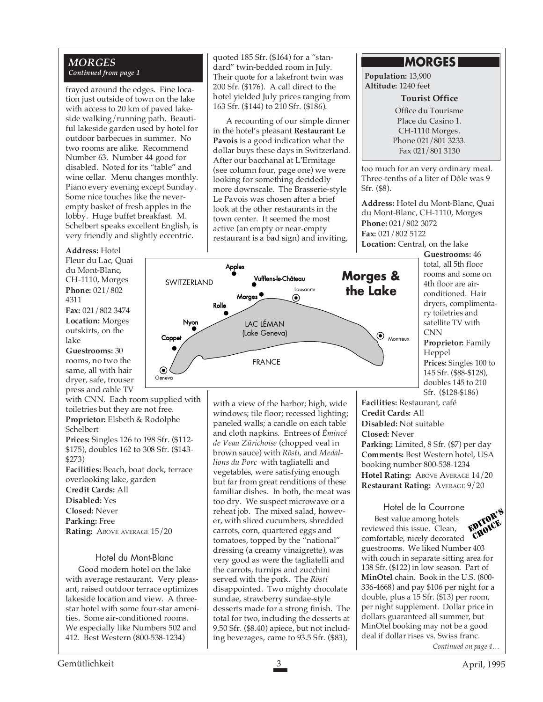#### *MORGES Continued from page 1*

frayed around the edges. Fine location just outside of town on the lake with access to 20 km of paved lakeside walking/running path. Beautiful lakeside garden used by hotel for outdoor barbecues in summer. No two rooms are alike. Recommend Number 63. Number 44 good for disabled. Noted for its "table" and wine cellar. Menu changes monthly. Piano every evening except Sunday. Some nice touches like the neverempty basket of fresh apples in the lobby. Huge buffet breakfast. M. Schelbert speaks excellent English, is very friendly and slightly eccentric.

#### **Address:** Hotel

Fleur du Lac, Quai du Mont-Blanc, CH-1110, Morges **Phone:** 021/802 4311 **Fax:** 021/802 3474 **Location:** Morges outskirts, on the lake **Guestrooms:** 30 rooms, no two the

same, all with hair dryer, safe, trouser press and cable TV

with CNN. Each room supplied with toiletries but they are not free. **Proprietor:** Elsbeth & Rodolphe Schelbert **Prices:** Singles 126 to 198 Sfr. (\$112- \$175), doubles 162 to 308 Sfr. (\$143- \$273) **Facilities:** Beach, boat dock, terrace overlooking lake, garden **Credit Cards:** All **Disabled:** Yes **Closed:** Never **Parking:** Free Rating: ABOVE AVERAGE  $15/20$ 

#### Hotel du Mont-Blanc

Good modern hotel on the lake with average restaurant. Very pleasant, raised outdoor terrace optimizes lakeside location and view. A threestar hotel with some four-star amenities. Some air-conditioned rooms. We especially like Numbers 502 and 412. Best Western (800-538-1234)

quoted 185 Sfr. (\$164) for a "standard" twin-bedded room in July. Their quote for a lakefront twin was 200 Sfr. (\$176). A call direct to the hotel yielded July prices ranging from 163 Sfr. (\$144) to 210 Sfr. (\$186).

A recounting of our simple dinner in the hotel's pleasant **Restaurant Le Pavois** is a good indication what the dollar buys these days in Switzerland. After our bacchanal at L'Ermitage (see column four, page one) we were looking for something decidedly more downscale. The Brasserie-style Le Pavois was chosen after a brief look at the other restaurants in the town center. It seemed the most active (an empty or near-empty restaurant is a bad sign) and inviting,

#### **MORGES**

**Population:** 13,900 **Altitude:** 1240 feet

#### **Tourist Office**

Office du Tourisme Place du Casino 1. CH-1110 Morges. Phone 021/801 3233. Fax 021/801 3130

too much for an very ordinary meal. Three-tenths of a liter of Dôle was 9 Sfr. (\$8).

**Address:** Hotel du Mont-Blanc, Quai du Mont-Blanc, CH-1110, Morges **Phone:** 021/802 3072 **Fax:** 021/802 5122 **Location:** Central, on the lake

> **Guestrooms:** 46 total, all 5th floor rooms and some on 4th floor are airconditioned. Hair dryers, complimentary toiletries and satellite TV with CNN

**Proprietor:** Family Heppel **Prices:** Singles 100 to 145 Sfr. (\$88-\$128), doubles 145 to 210 Sfr. (\$128-\$186)

**Facilities:** Restaurant, café **Credit Cards:** All **Disabled:** Not suitable **Closed:** Never **Parking:** Limited, 8 Sfr. (\$7) per day **Comments:** Best Western hotel, USA booking number 800-538-1234 **Hotel Rating: ABOVE AVERAGE 14/20 Restaurant Rating:** AVERAGE 9/20

*Continued on page 4…* Hotel de la Courrone Best value among hotels reviewed this issue. Clean, comfortable, nicely decorated guestrooms. We liked Number 403 with couch in separate sitting area for 138 Sfr. (\$122) in low season. Part of **MinOtel** chain. Book in the U.S. (800- 336-4668) and pay \$106 per night for a double, plus a 15 Sfr. (\$13) per room, per night supplement. Dollar price in dollars guaranteed all summer, but MinOtel booking may not be a good deal if dollar rises vs. Swiss franc. EDITOR'S CHOICE



with a view of the harbor; high, wide windows; tile floor; recessed lighting; paneled walls; a candle on each table and cloth napkins. Entrees of *Émincé*

*de Veau Zürichoise* (chopped veal in brown sauce) with *Rösti,* and *Medallions du Porc* with tagliatelli and vegetables, were satisfying enough but far from great renditions of these familiar dishes. In both, the meat was too dry. We suspect microwave or a reheat job. The mixed salad, however, with sliced cucumbers, shredded carrots, corn, quartered eggs and tomatoes, topped by the "national" dressing (a creamy vinaigrette), was very good as were the tagliatelli and the carrots, turnips and zucchini served with the pork. The *Rösti* disappointed. Two mighty chocolate sundae, strawberry sundae-style desserts made for a strong finish. The total for two, including the desserts at 9.50 Sfr. (\$8.40) apiece, but not including beverages, came to 93.5 Sfr. (\$83),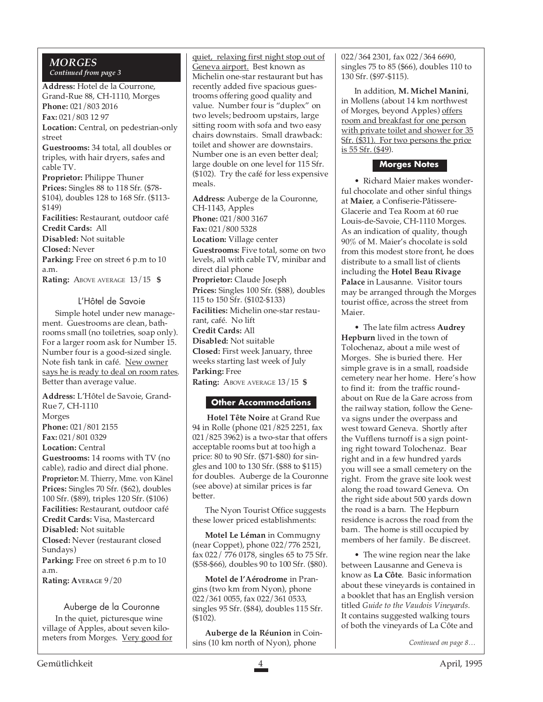#### *MORGES*

*Continued from page 3*

**Address:** Hotel de la Courrone, Grand-Rue 88, CH-1110, Morges **Phone:** 021/803 2016 **Fax:** 021/803 12 97 **Location:** Central, on pedestrian-only street **Guestrooms:** 34 total, all doubles or triples, with hair dryers, safes and cable TV. **Proprietor:** Philippe Thuner **Prices:** Singles 88 to 118 Sfr. (\$78- \$104), doubles 128 to 168 Sfr. (\$113- \$149) **Facilities:** Restaurant, outdoor café **Credit Cards:** All **Disabled:** Not suitable **Closed:** Never Parking: Free on street 6 p.m to 10 a.m. **Rating:** ABOVE AVERAGE 13/15 **\$**

#### L'Hôtel de Savoie

Simple hotel under new management. Guestrooms are clean, bathrooms small (no toiletries, soap only). For a larger room ask for Number 15. Number four is a good-sized single. Note fish tank in café. New owner says he is ready to deal on room rates. Better than average value.

**Address:** L'Hôtel de Savoie, Grand-Rue 7, CH-1110 Morges **Phone:** 021/801 2155 **Fax:** 021/801 0329 **Location:** Central **Guestrooms:** 14 rooms with TV (no cable), radio and direct dial phone. **Proprietor:** M. Thierry, Mme. von Känel **Prices:** Singles 70 Sfr. (\$62), doubles 100 Sfr. (\$89), triples 120 Sfr. (\$106) **Facilities:** Restaurant, outdoor café **Credit Cards:** Visa, Mastercard **Disabled:** Not suitable **Closed:** Never (restaurant closed Sundays) Parking: Free on street 6 p.m to 10

a.m. **Rating: AVERAGE** 9/20

Auberge de la Couronne In the quiet, picturesque wine village of Apples, about seven kilometers from Morges. Very good for quiet, relaxing first night stop out of Geneva airport. Best known as Michelin one-star restaurant but has recently added five spacious guestrooms offering good quality and value. Number four is "duplex" on two levels; bedroom upstairs, large sitting room with sofa and two easy chairs downstairs. Small drawback: toilet and shower are downstairs. Number one is an even better deal; large double on one level for 115 Sfr. (\$102). Try the café for less expensive meals.

**Address:** Auberge de la Couronne, CH-1143, Apples **Phone:** 021/800 3167 **Fax:** 021/800 5328 **Location:** Village center Guestrooms: Five total, some on two levels, all with cable TV, minibar and direct dial phone **Proprietor:** Claude Joseph **Prices:** Singles 100 Sfr. (\$88), doubles 115 to 150 Sfr. (\$102-\$133) **Facilities:** Michelin one-star restaurant, café. No lift **Credit Cards:** All **Disabled:** Not suitable **Closed:** First week January, three weeks starting last week of July **Parking:** Free **Rating:** ABOVE AVERAGE 13/15 **\$**

#### **Other Accommodations**

**Hotel Tête Noire** at Grand Rue 94 in Rolle (phone 021/825 2251, fax 021/825 3962) is a two-star that offers acceptable rooms but at too high a price: 80 to 90 Sfr. (\$71-\$80) for singles and 100 to 130 Sfr. (\$88 to \$115) for doubles. Auberge de la Couronne (see above) at similar prices is far better.

The Nyon Tourist Office suggests these lower priced establishments:

**Motel Le Léman** in Commugny (near Coppet), phone 022/776 2521, fax 022/ 776 0178, singles 65 to 75 Sfr. (\$58-\$66), doubles 90 to 100 Sfr. (\$80).

**Motel de l'Aérodrome** in Prangins (two km from Nyon), phone 022/361 0055, fax 022/361 0533, singles 95 Sfr. (\$84), doubles 115 Sfr. (\$102).

**Auberge de la Réunion** in Coinsins (10 km north of Nyon), phone

022/364 2301, fax 022/364 6690, singles 75 to 85 (\$66), doubles 110 to 130 Sfr. (\$97-\$115).

In addition, **M. Michel Manini**, in Mollens (about 14 km northwest of Morges, beyond Apples) offers room and breakfast for one person with private toilet and shower for 35 Sfr. (\$31). For two persons the price is 55 Sfr. (\$49).

#### **Morges Notes**

• Richard Maier makes wonderful chocolate and other sinful things at **Maier**, a Confiserie-Pâtissere-Glacerie and Tea Room at 60 rue Louis-de-Savoie, CH-1110 Morges. As an indication of quality, though 90% of M. Maier's chocolate is sold from this modest store front, he does distribute to a small list of clients including the **Hotel Beau Rivage Palace** in Lausanne. Visitor tours may be arranged through the Morges tourist office, across the street from Maier.

• The late film actress **Audrey Hepburn** lived in the town of Tolochenaz, about a mile west of Morges. She is buried there. Her simple grave is in a small, roadside cemetery near her home. Here's how to find it: from the traffic roundabout on Rue de la Gare across from the railway station, follow the Geneva signs under the overpass and west toward Geneva. Shortly after the Vufflens turnoff is a sign pointing right toward Tolochenaz. Bear right and in a few hundred yards you will see a small cemetery on the right. From the grave site look west along the road toward Geneva. On the right side about 500 yards down the road is a barn. The Hepburn residence is across the road from the barn. The home is still occupied by members of her family. Be discreet.

• The wine region near the lake between Lausanne and Geneva is know as **La Côte**. Basic information about these vineyards is contained in a booklet that has an English version titled *Guide to the Vaudois Vineyards.* It contains suggested walking tours of both the vineyards of La Côte and

*Continued on page 8…*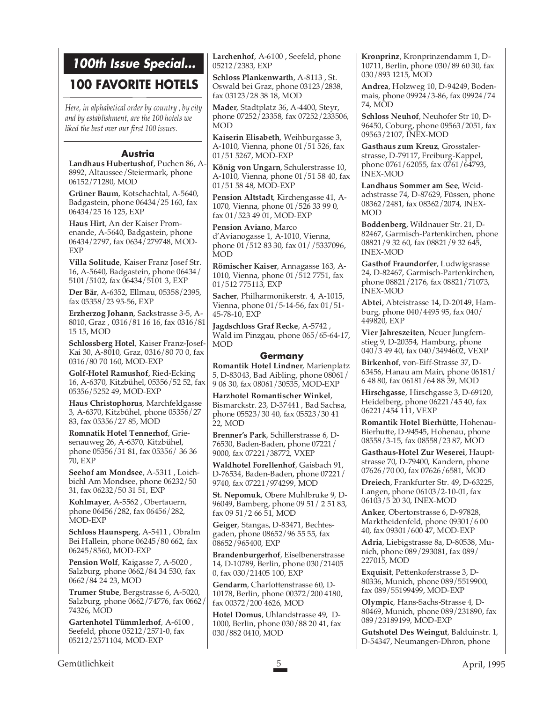## **100th Issue Special...**

### **100 FAVORITE HOTELS**

*Here, in alphabetical order by country , by city and by establishment, are the 100 hotels we liked the best over our first 100 issues.*

#### **Austria**

**Landhaus Hubertushof**, Puchen 86, A-8992, Altaussee/Steiermark, phone 06152/71280, MOD

**Grüner Baum**, Kotschachtal, A-5640, Badgastein, phone 06434/25 160, fax 06434/25 16 125, EXP

**Haus Hirt**, An der Kaiser Promenande, A-5640, Badgastein, phone 06434/2797, fax 0634/279748, MOD-EXP

**Villa Solitude**, Kaiser Franz Josef Str. 16, A-5640, Badgastein, phone 06434/ 5101/5102, fax 06434/5101 3, EXP

**Der Bär**, A-6352, Ellmau, 05358/2395, fax 05358/23 95-56, EXP

**Erzherzog Johann**, Sackstrasse 3-5, A-8010, Graz , 0316/81 16 16, fax 0316/81 15 15, MOD

**Schlossberg Hotel**, Kaiser Franz-Josef-Kai 30, A-8010, Graz, 0316/80 70 0, fax 0316/80 70 160, MOD-EXP

**Golf-Hotel Ramushof**, Ried-Ecking 16, A-6370, Kitzbühel, 05356/52 52, fax 05356/5252 49, MOD-EXP

**Haus Christophorus**, Marchfeldgasse 3, A-6370, Kitzbühel, phone 05356/27 83, fax 05356/27 85, MOD

**Romnatik Hotel Tennerhof**, Griesenauweg 26, A-6370, Kitzbühel, phone 05356/31 81, fax 05356/ 36 36 70, EXP

**Seehof am Mondsee**, A-5311 , Loichbichl Am Mondsee, phone 06232/50 31, fax 06232/50 31 51, EXP

**Kohlmayer**, A-5562 , Obertauern, phone 06456/282, fax 06456/282, MOD-EXP

**Schloss Haunsperg**, A-5411 , Obralm Bei Hallein, phone 06245/80 662, fax 06245/8560, MOD-EXP

**Pension Wolf**, Kaigasse 7, A-5020 , Salzburg, phone 0662/84 34 530, fax 0662/84 24 23, MOD

**Trumer Stube**, Bergstrasse 6, A-5020, Salzburg, phone 0662/74776, fax 0662/ 74326, MOD

**Gartenhotel Tümmlerhof**, A-6100 , Seefeld, phone 05212/2571-0, fax 05212/2571104, MOD-EXP

**Larchenhof**, A-6100 , Seefeld, phone 05212/2383, EXP

**Schloss Plankenwarth**, A-8113 , St. Oswald bei Graz, phone 03123/2838, fax 03123/28 38 18, MOD

**Mader**, Stadtplatz 36, A-4400, Steyr, phone 07252/23358, fax 07252/233506, MOD

**Kaiserin Elisabeth**, Weihburgasse 3, A-1010, Vienna, phone 01/51 526, fax 01/51 5267, MOD-EXP

**König von Ungarn**, Schulerstrasse 10, A-1010, Vienna, phone 01/51 58 40, fax 01/51 58 48, MOD-EXP

**Pension Altstadt**, Kirchengasse 41, A-1070, Vienna, phone 01/526 33 99 0, fax 01/523 49 01, MOD-EXP

**Pension Aviano**, Marco d'Avianogasse 1, A-1010, Vienna, phone 01/512 83 30, fax 01//5337096, MOD

**Römischer Kaiser**, Annagasse 163, A-1010, Vienna, phone 01/512 7751, fax 01/512 775113, EXP

**Sacher**, Philharmonikerstr. 4, A-1015, Vienna, phone 01/5-14-56, fax 01/51- 45-78-10, EXP

**Jagdschloss Graf Recke**, A-5742 , Wald im Pinzgau, phone 065/65-64-17, MOD

#### **Germany**

**Romantik Hotel Lindner**, Marienplatz 5, D-83043, Bad Aibling, phone 08061/ 9 06 30, fax 08061/30535, MOD-EXP

**Harzhotel Romantischer Winkel**, Bismarckstr. 23, D-37441 , Bad Sachsa, phone 05523/30 40, fax 05523/30 41 22, MOD

**Brenner's Park**, Schillerstrasse 6, D-76530, Baden-Baden, phone 07221/ 9000, fax 07221/38772, VXEP

**Waldhotel Forellenhof**, Gaisbach 91, D-76534, Baden-Baden, phone 07221/ 9740, fax 07221/974299, MOD

**St. Nepomuk**, Obere Muhlbruke 9, D-96049, Bamberg, phone 09 51/ 2 51 83, fax 09 51/2 66 51, MOD

**Geiger**, Stangas, D-83471, Bechtesgaden, phone 08652/96 55 55, fax 08652/965400, EXP

**Brandenburgerhof**, Eiselbenerstrasse 14, D-10789, Berlin, phone 030/21405 0, fax 030/21405 100, EXP

**Gendarm**, Charlottenstrasse 60, D-10178, Berlin, phone 00372/200 4180, fax 00372/200 4626, MOD

**Hotel Domus**, Uhlandstrasse 49, D-1000, Berlin, phone 030/88 20 41, fax 030/882 0410, MOD

**Kronprinz**, Kronprinzendamm 1, D-10711, Berlin, phone 030/89 60 30, fax 030/893 1215, MOD

**Andrea**, Holzweg 10, D-94249, Bodenmais, phone 09924/3-86, fax 09924/74 74, MOD

**Schloss Neuhof**, Neuhofer Str 10, D-96450, Coburg, phone 09563/2051, fax 09563/2107, INEX-MOD

**Gasthaus zum Kreuz**, Grosstalerstrasse, D-79117, Freiburg-Kappel, phone 0761/62055, fax 0761/64793, INEX-MOD

**Landhaus Sommer am See**, Weidachstrasse 74, D-87629, Füssen, phone 08362/2481, fax 08362/2074, INEX-MOD

**Boddenberg**, Wildnauer Str. 21, D-82467, Garmisch-Partenkirchen, phone 08821/9 32 60, fax 08821/9 32 645, INEX-MOD

**Gasthof Fraundorfer**, Ludwigsrasse 24, D-82467, Garmisch-Partenkirchen, phone 08821/2176, fax 08821/71073, INEX-MOD

**Abtei**, Abteistrasse 14, D-20149, Hamburg, phone 040/4495 95, fax 040/ 449820, EXP

**Vier Jahreszeiten**, Neuer Jungfernstieg 9, D-20354, Hamburg, phone 040/3 49 40, fax 040/3494602, VEXP

**Birkenhof**, von-Eiff-Strasse 37, D-63456, Hanau am Main, phone 06181/ 6 48 80, fax 06181/64 88 39, MOD

**Hirschgasse**, Hirschgasse 3, D-69120, Heidelberg, phone 06221/45 40, fax 06221/454 111, VEXP

**Romantik Hotel Bierhütte**, Hohenau-Bierhutte, D-94545, Hohenau, phone 08558/3-15, fax 08558/23 87, MOD

**Gasthaus-Hotel Zur Weserei**, Hauptstrasse 70, D-79400, Kandern, phone 07626/70 00, fax 07626/6581, MOD

**Dreiech**, Frankfurter Str. 49, D-63225, Langen, phone 06103/2-10-01, fax 06103/5 20 30, INEX-MOD

**Anker**, Obertorstrasse 6, D-97828, Marktheidenfeld, phone 09301/6 00 40, fax 09301/600 47, MOD-EXP

**Adria**, Liebigstrasse 8a, D-80538, Munich, phone 089/293081, fax 089/ 227015, MOD

**Exquisit**, Pettenkoferstrasse 3, D-80336, Munich, phone 089/5519900, fax 089/55199499, MOD-EXP

**Olympic**, Hans-Sachs-Strasse 4, D-80469, Munich, phone 089/231890, fax 089/23189199, MOD-EXP

**Gutshotel Des Weingut**, Balduinstr. 1, D-54347, Neumangen-Dhron, phone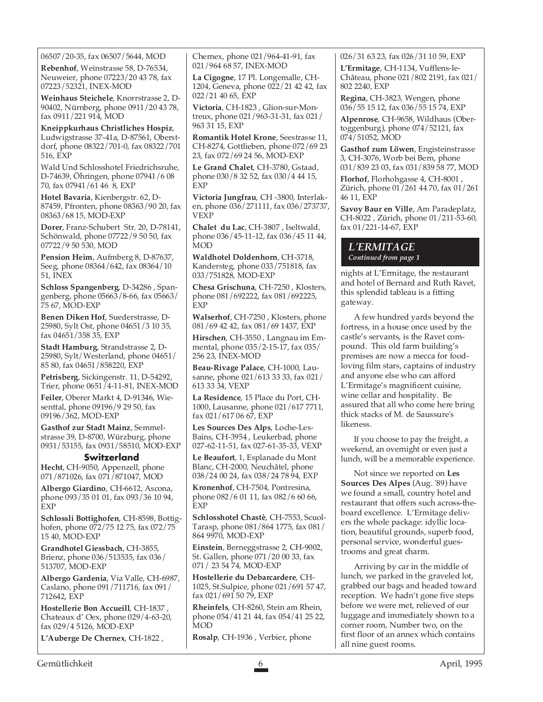06507/20-35, fax 06507/5644, MOD

**Rebenhof**, Weinstrasse 58, D-76534, Neuweier, phone 07223/20 43 78, fax 07223/52321, INEX-MOD

**Weinhaus Steichele**, Knorrstrasse 2, D-90402, Nürnberg, phone 0911/20 43 78, fax 0911/221 914, MOD

**Kneippkurhaus Christliches Hospiz**, Ludwigstrasse 37-41a, D-87561, Oberstdorf, phone 08322/701-0, fax 08322/701 516, EXP

Wald Und Schlosshotel Friedrichsruhe, D-74639, Öhringen, phone 07941/6 08 70, fax 07941/61 46 8, EXP

**Hotel Bavaria**, Kienbergstr. 62, D-87459, Pfronten, phone 08363/90 20, fax 08363/68 15, MOD-EXP

**Dorer**, Franz-Schubert Str. 20, D-78141, Schönwald, phone 07722/9 50 50, fax 07722/9 50 530, MOD

**Pension Heim**, Aufmberg 8, D-87637, Seeg, phone 08364/642, fax 08364/10 51, INEX

**Schloss Spangenberg**, D-34286 , Spangenberg, phone 05663/8-66, fax 05663/ 75 67, MOD-EXP

**Benen Diken Hof**, Suederstrasse, D-25980, Sylt Ost, phone 04651/3 10 35, fax 04651/358 35, EXP

**Stadt Hamburg**, Strandstrasse 2, D-25980, Sylt/Westerland, phone 04651/ 85 80, fax 04651/858220, EXP

**Petrisberg**, Sickingenstr. 11, D-54292, Trier, phone  $0651/4$ -11-81, INEX-MOD

**Feiler**, Oberer Markt 4, D-91346, Wiesenttal, phone 09196/9 29 50, fax 09196/362, MOD-EXP

**Gasthof zur Stadt Mainz**, Semmelstrasse 39, D-8700, Würzburg, phone 0931/53155, fax 0931/58510, MOD-EXP

#### **Switzerland**

**Hecht**, CH-9050, Appenzell, phone 071/871026, fax 071/871047, MOD

**Albergo Giardino**, CH-6612, Ascona, phone 093/35 01 01, fax 093/36 10 94, EXP

**Schlossli Bottighofen**, CH-8598, Bottighofen, phone 072/75 12 75, fax 072/75 15 40, MOD-EXP

**Grandhotel Giessbach**, CH-3855, Brienz, phone 036/513535, fax 036/ 513707, MOD-EXP

**Albergo Gardenia**, Via Valle, CH-6987, Caslano, phone 091/711716, fax 091/ 712642, EXP

**Hostellerie Bon Accueill**, CH-1837 , Chateaux d' Oex, phone 029/4-63-20, fax 029/4 5126, MOD-EXP

**L'Auberge De Chernex**, CH-1822 ,

Chernex, phone 021/964-41-91, fax 021/964 68 57, INEX-MOD

**La Cigogne**, 17 Pl. Longemalle, CH-1204, Geneva, phone 022/21 42 42, fax 022/21 40 65, EXP

**Victoria**, CH-1823 , Glion-sur-Montreux, phone 021/963-31-31, fax 021/ 963 31 15, EXP

**Romantik Hotel Krone**, Seestrasse 11, CH-8274, Gottlieben, phone 072/69 23 23, fax 072/69 24 56, MOD-EXP

**Le Grand Chalet**, CH-3780, Gstaad, phone 030/8 32 52, fax 030/4 44 15, EXP

**Victoria Jungfrau**, CH -3800, Interlaken, phone 036/271111, fax 036/273737, VEXP

**Chalet du Lac**, CH-3807 , Iseltwald, phone 036/45-11-12, fax 036/45 11 44, MOD

**Waldhotel Doldenhorn**, CH-3718, Kandersteg, phone 033/751818, fax 033/751828, MOD-EXP

**Chesa Grischuna**, CH-7250 , Klosters, phone 081/692222, fax 081/692225, EXP

**Walserhof**, CH-7250 , Klosters, phone 081/69 42 42, fax 081/69 1437, EXP

**Hirschen**, CH-3550 , Langnau im Emmental, phone 035/2-15-17, fax 035/ 256 23, INEX-MOD

**Beau-Rivage Palace**, CH-1000, Lausanne, phone 021/613 33 33, fax 021/ 613 33 34, VEXP

**La Residence**, 15 Place du Port, CH-1000, Lausanne, phone 021/617 7711, fax 021/617 06 67, EXP

**Les Sources Des Alps**, Loche-Les-Bains, CH-3954 , Leukerbad, phone 027-62-11-51, fax 027-61-35-33, VEXP

**Le Beaufort**, 1, Esplanade du Mont Blanc, CH-2000, Neuchâtel, phone 038/24 00 24, fax 038/24 78 94, EXP

**Kronenhof**, CH-7504, Pontresina, phone 082/6 01 11, fax 082/6 60 66, EXP

**Schlosshotel Chastè**, CH-7553, Scuol-Tarasp, phone 081/864 1775, fax 081/ 864 9970, MOD-EXP

**Einstein**, Berneggstrasse 2, CH-9002, St. Gallen, phone 071/20 00 33, fax 071/ 23 54 74, MOD-EXP

**Hostellerie du Debarcardere**, CH-1025, St.Sulpice, phone 021/691 57 47, fax 021/691 50 79, EXP

**Rheinfels**, CH-8260, Stein am Rhein, phone 054/41 21 44, fax 054/41 25 22, MOD

**Rosalp**, CH-1936 , Verbier, phone

026/31 63 23, fax 026/31 10 59, EXP

**L'Ermitage**, CH-1134, Vufflens-le-Château, phone 021/802 2191, fax 021/ 802 2240, EXP

**Regina**, CH-3823, Wengen, phone 036/55 15 12, fax 036/55 15 74, EXP

**Alpenrose**, CH-9658, Wildhaus (Obertoggenburg), phone 074/52121, fax 074/51052, MOD

**Gasthof zum Löwen**, Engisteinstrasse 3, CH-3076, Worb bei Bern, phone 031/839 23 03, fax 031/839 58 77, MOD

**Florhof**, Florhohgasse 4, CH-8001 , Zürich, phone 01/261 44 70, fax 01/261 46 11, EXP

**Savoy Baur en Ville**, Am Paradeplatz, CH-8022 , Zürich, phone 01/211-53-60, fax 01/221-14-67, EXP

### *L'ERMITAGE*

*Continued from page 1*

nights at L'Ermitage, the restaurant and hotel of Bernard and Ruth Ravet, this splendid tableau is a fitting gateway.

A few hundred yards beyond the fortress, in a house once used by the castle's servants, is the Ravet compound. This old farm building's premises are now a mecca for foodloving film stars, captains of industry and anyone else who can afford L'Ermitage's magnificent cuisine, wine cellar and hospitality. Be assured that all who come here bring thick stacks of M. de Saussure's likeness.

If you choose to pay the freight, a weekend, an overnight or even just a lunch, will be a memorable experience.

Not since we reported on **Les Sources Des Alpes** (Aug. '89) have we found a small, country hotel and restaurant that offers such across-theboard excellence. L'Ermitage delivers the whole package: idyllic location, beautiful grounds, superb food, personal service, wonderful guestrooms and great charm.

Arriving by car in the middle of lunch, we parked in the graveled lot, grabbed our bags and headed toward reception. We hadn't gone five steps before we were met, relieved of our luggage and immediately shown to a corner room, Number two, on the first floor of an annex which contains all nine guest rooms.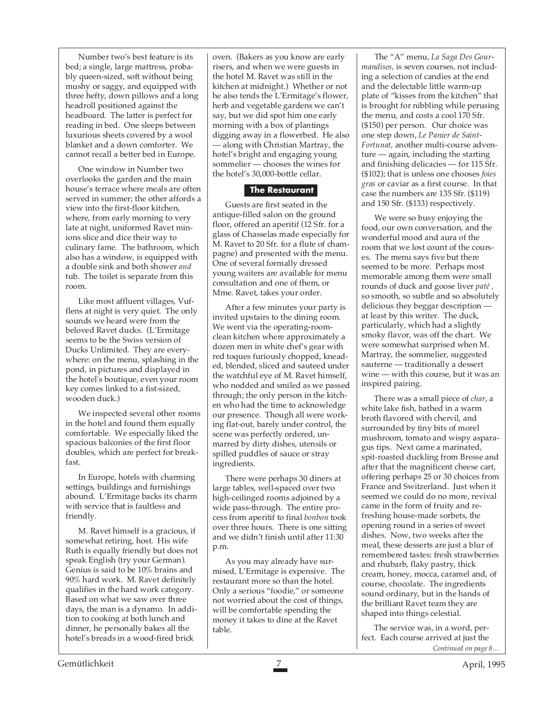Number two's best feature is its bed; a single, large mattress, probably queen-sized, soft without being mushy or saggy, and equipped with three hefty, down pillows and a long headroll positioned against the headboard. The latter is perfect for reading in bed. One sleeps between luxurious sheets covered by a wool blanket and a down comforter. We cannot recall a better bed in Europe.

One window in Number two overlooks the garden and the main house's terrace where meals are often served in summer; the other affords a view into the first-floor kitchen, where, from early morning to very late at night, uniformed Ravet minions slice and dice their way to culinary fame. The bathroom, which also has a window, is equipped with a double sink and both shower *and* tub. The toilet is separate from this room.

Like most affluent villages, Vufflens at night is very quiet. The only sounds we heard were from the beloved Ravet ducks. (L'Ermitage seems to be the Swiss version of Ducks Unlimited. They are everywhere: on the menu, splashing in the pond, in pictures and displayed in the hotel's boutique, even your room key comes linked to a fist-sized, wooden duck.)

We inspected several other rooms in the hotel and found them equally comfortable. We especially liked the spacious balconies of the first floor doubles, which are perfect for breakfast.

In Europe, hotels with charming settings, buildings and furnishings abound. L'Ermitage backs its charm with service that is faultless and friendly.

M. Ravet himself is a gracious, if somewhat retiring, host. His wife Ruth is equally friendly but does not speak English (try your German). Genius is said to be 10% brains and 90% hard work. M. Ravet definitely qualifies in the hard work category. Based on what we saw over three days, the man is a dynamo. In addition to cooking at both lunch and dinner, he personally bakes all the hotel's breads in a wood-fired brick

oven. (Bakers as you know are early risers, and when we were guests in the hotel M. Ravet was still in the kitchen at midnight.) Whether or not he also tends the L'Ermitage's flower, herb and vegetable gardens we can't say, but we did spot him one early morning with a box of plantings digging away in a flowerbed. He also — along with Christian Martray, the hotel's bright and engaging young sommelier — chooses the wines for the hotel's 30,000-bottle cellar.

#### **The Restaurant**

Guests are first seated in the antique-filled salon on the ground floor, offered an aperitif (12 Sfr. for a glass of Chasselas made especially for M. Ravet to 20 Sfr. for a flute of champagne) and presented with the menu. One of several formally dressed young waiters are available for menu consultation and one of them, or Mme. Ravet, takes your order.

After a few minutes your party is invited upstairs to the dining room. We went via the operating-roomclean kitchen where approximately a dozen men in white chef's gear with red toques furiously chopped, kneaded, blended, sliced and sauteed under the watchful eye of M. Ravet himself, who nodded and smiled as we passed through; the only person in the kitchen who had the time to acknowledge our presence. Though all were working flat-out, barely under control, the scene was perfectly ordered, unmarred by dirty dishes, utensils or spilled puddles of sauce or stray ingredients.

There were perhaps 30 diners at large tables, well-spaced over two high-ceilinged rooms adjoined by a wide pass-through. The entire process from aperitif to final *bonbon* took over three hours. There is one sitting and we didn't finish until after 11:30 p.m.

As you may already have surmised, L'Ermitage is expensive. The restaurant more so than the hotel. Only a serious "foodie," or someone not worried about the cost of things, will be comfortable spending the money it takes to dine at the Ravet table.

The "A" menu, *La Saga Des Gourmandises,* is seven courses, not including a selection of candies at the end and the delectable little warm-up plate of "kisses from the kitchen" that is brought for nibbling while perusing the menu, and costs a cool 170 Sfr. (\$150) per person. Our choice was one step down, *Le Panier de Saint-Fortunat*, another multi-course adventure — again, including the starting and finishing delicacies — for 115 Sfr. (\$102); that is unless one chooses *foies gras* or caviar as a first course. In that case the numbers are 135 Sfr. (\$119) and 150 Sfr. (\$133) respectively.

We were so busy enjoying the food, our own conversation, and the wonderful mood and aura of the room that we lost count of the courses. The menu says five but there seemed to be more. Perhaps most memorable among them were small rounds of duck and goose liver *paté ,* so smooth, so subtle and so absolutely delicious they beggar description at least by this writer. The duck, particularly, which had a slightly smoky flavor, was off the chart. We were somewhat surprised when M. Martray, the sommelier, suggested sauterne — traditionally a dessert wine — with this course, but it was an inspired pairing.

There was a small piece of *char*, a white lake fish, bathed in a warm broth flavored with chervil, and surrounded by tiny bits of morel mushroom, tomato and wispy asparagus tips. Next came a marinated, spit-roasted duckling from Bresse and after that the magnificent cheese cart, offering perhaps 25 or 30 choices from France and Switzerland. Just when it seemed we could do no more, revival came in the form of fruity and refreshing house-made sorbets, the opening round in a series of sweet dishes. Now, two weeks after the meal, these desserts are just a blur of remembered tastes: fresh strawberries and rhubarb, flaky pastry, thick cream, honey, mocca, caramel and, of course, chocolate. The ingredients sound ordinary, but in the hands of the brilliant Ravet team they are shaped into things celestial.

The service was, in a word, perfect. Each course arrived at just the *Continued on page 8…*